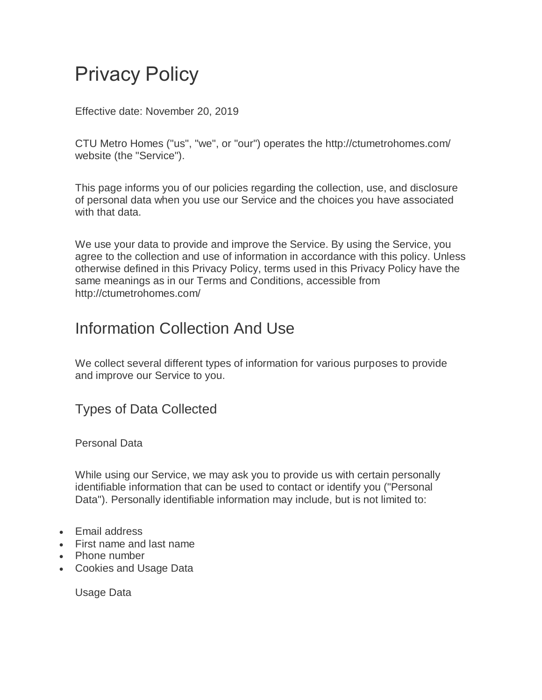# Privacy Policy

Effective date: November 20, 2019

CTU Metro Homes ("us", "we", or "our") operates the http://ctumetrohomes.com/ website (the "Service").

This page informs you of our policies regarding the collection, use, and disclosure of personal data when you use our Service and the choices you have associated with that data.

We use your data to provide and improve the Service. By using the Service, you agree to the collection and use of information in accordance with this policy. Unless otherwise defined in this Privacy Policy, terms used in this Privacy Policy have the same meanings as in our Terms and Conditions, accessible from http://ctumetrohomes.com/

### Information Collection And Use

We collect several different types of information for various purposes to provide and improve our Service to you.

Types of Data Collected

Personal Data

While using our Service, we may ask you to provide us with certain personally identifiable information that can be used to contact or identify you ("Personal Data"). Personally identifiable information may include, but is not limited to:

- Fmail address
- First name and last name
- Phone number
- Cookies and Usage Data

Usage Data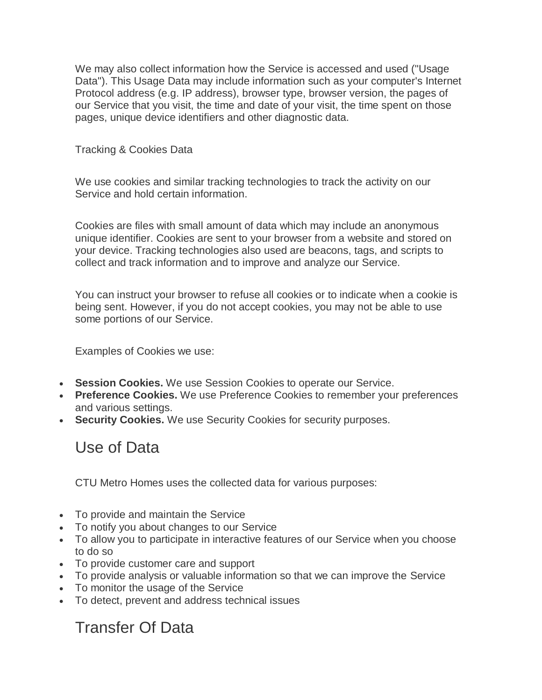We may also collect information how the Service is accessed and used ("Usage Data"). This Usage Data may include information such as your computer's Internet Protocol address (e.g. IP address), browser type, browser version, the pages of our Service that you visit, the time and date of your visit, the time spent on those pages, unique device identifiers and other diagnostic data.

Tracking & Cookies Data

We use cookies and similar tracking technologies to track the activity on our Service and hold certain information.

Cookies are files with small amount of data which may include an anonymous unique identifier. Cookies are sent to your browser from a website and stored on your device. Tracking technologies also used are beacons, tags, and scripts to collect and track information and to improve and analyze our Service.

You can instruct your browser to refuse all cookies or to indicate when a cookie is being sent. However, if you do not accept cookies, you may not be able to use some portions of our Service.

Examples of Cookies we use:

- **Session Cookies.** We use Session Cookies to operate our Service.
- **Preference Cookies.** We use Preference Cookies to remember your preferences and various settings.
- **Security Cookies.** We use Security Cookies for security purposes.

## Use of Data

CTU Metro Homes uses the collected data for various purposes:

- To provide and maintain the Service
- To notify you about changes to our Service
- To allow you to participate in interactive features of our Service when you choose to do so
- To provide customer care and support
- To provide analysis or valuable information so that we can improve the Service
- To monitor the usage of the Service
- To detect, prevent and address technical issues

#### Transfer Of Data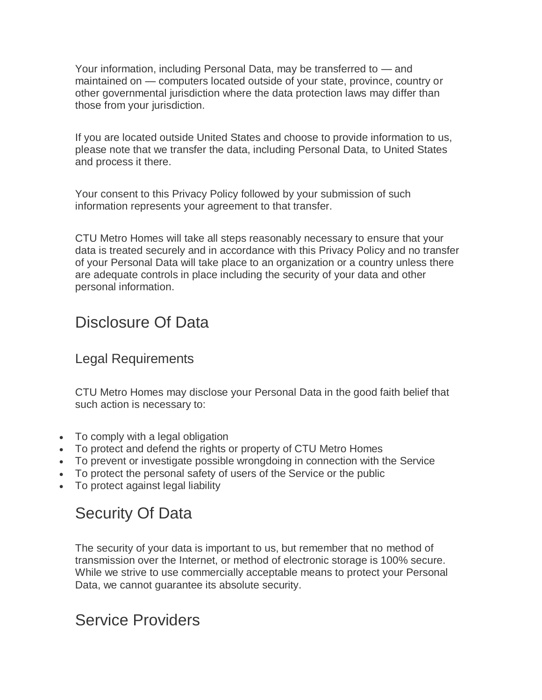Your information, including Personal Data, may be transferred to — and maintained on — computers located outside of your state, province, country or other governmental jurisdiction where the data protection laws may differ than those from your jurisdiction.

If you are located outside United States and choose to provide information to us, please note that we transfer the data, including Personal Data, to United States and process it there.

Your consent to this Privacy Policy followed by your submission of such information represents your agreement to that transfer.

CTU Metro Homes will take all steps reasonably necessary to ensure that your data is treated securely and in accordance with this Privacy Policy and no transfer of your Personal Data will take place to an organization or a country unless there are adequate controls in place including the security of your data and other personal information.

#### Disclosure Of Data

#### Legal Requirements

CTU Metro Homes may disclose your Personal Data in the good faith belief that such action is necessary to:

- To comply with a legal obligation
- To protect and defend the rights or property of CTU Metro Homes
- To prevent or investigate possible wrongdoing in connection with the Service
- To protect the personal safety of users of the Service or the public
- To protect against legal liability

## Security Of Data

The security of your data is important to us, but remember that no method of transmission over the Internet, or method of electronic storage is 100% secure. While we strive to use commercially acceptable means to protect your Personal Data, we cannot guarantee its absolute security.

#### Service Providers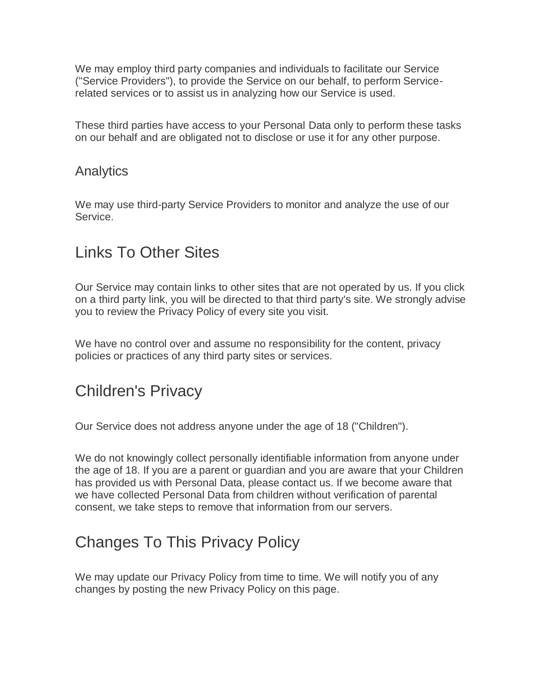We may employ third party companies and individuals to facilitate our Service ("Service Providers"), to provide the Service on our behalf, to perform Servicerelated services or to assist us in analyzing how our Service is used.

These third parties have access to your Personal Data only to perform these tasks on our behalf and are obligated not to disclose or use it for any other purpose.

#### Analytics

We may use third-party Service Providers to monitor and analyze the use of our Service.

## Links To Other Sites

Our Service may contain links to other sites that are not operated by us. If you click on a third party link, you will be directed to that third party's site. We strongly advise you to review the Privacy Policy of every site you visit.

We have no control over and assume no responsibility for the content, privacy policies or practices of any third party sites or services.

## Children's Privacy

Our Service does not address anyone under the age of 18 ("Children").

We do not knowingly collect personally identifiable information from anyone under the age of 18. If you are a parent or guardian and you are aware that your Children has provided us with Personal Data, please contact us. If we become aware that we have collected Personal Data from children without verification of parental consent, we take steps to remove that information from our servers.

# Changes To This Privacy Policy

We may update our Privacy Policy from time to time. We will notify you of any changes by posting the new Privacy Policy on this page.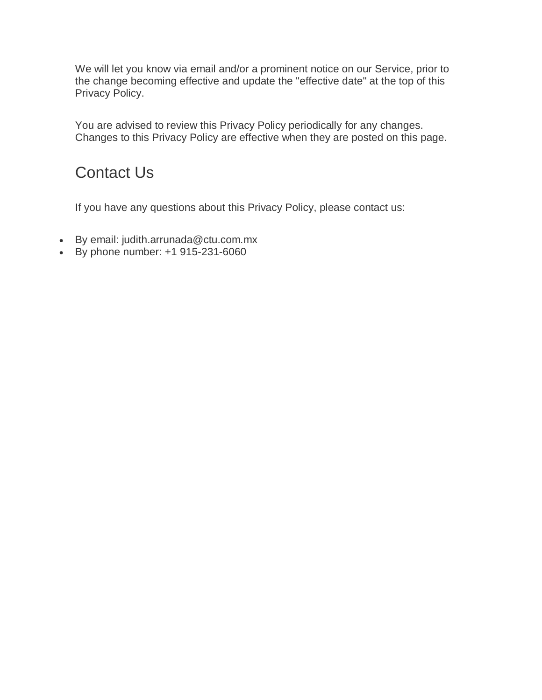We will let you know via email and/or a prominent notice on our Service, prior to the change becoming effective and update the "effective date" at the top of this Privacy Policy.

You are advised to review this Privacy Policy periodically for any changes. Changes to this Privacy Policy are effective when they are posted on this page.

# Contact Us

If you have any questions about this Privacy Policy, please contact us:

- By email: judith.arrunada@ctu.com.mx
- $\bullet$  By phone number: +1 915-231-6060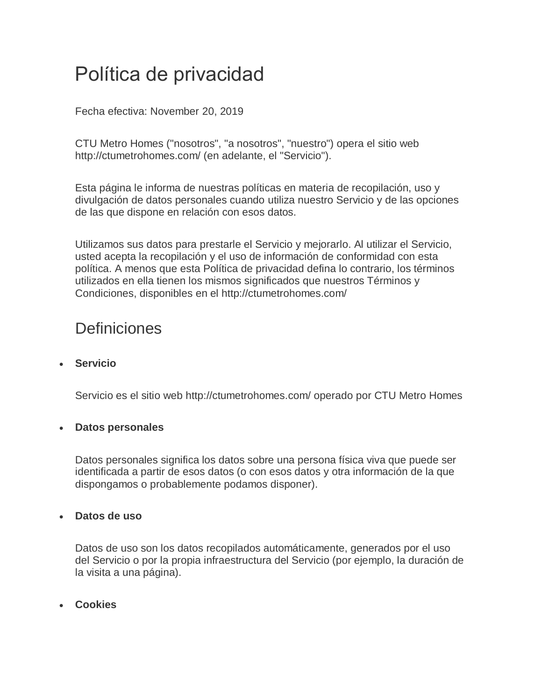# Política de privacidad

Fecha efectiva: November 20, 2019

CTU Metro Homes ("nosotros", "a nosotros", "nuestro") opera el sitio web http://ctumetrohomes.com/ (en adelante, el "Servicio").

Esta página le informa de nuestras políticas en materia de recopilación, uso y divulgación de datos personales cuando utiliza nuestro Servicio y de las opciones de las que dispone en relación con esos datos.

Utilizamos sus datos para prestarle el Servicio y mejorarlo. Al utilizar el Servicio, usted acepta la recopilación y el uso de información de conformidad con esta política. A menos que esta Política de privacidad defina lo contrario, los términos utilizados en ella tienen los mismos significados que nuestros Términos y Condiciones, disponibles en el http://ctumetrohomes.com/

## **Definiciones**

#### **Servicio**

Servicio es el sitio web http://ctumetrohomes.com/ operado por CTU Metro Homes

#### **Datos personales**

Datos personales significa los datos sobre una persona física viva que puede ser identificada a partir de esos datos (o con esos datos y otra información de la que dispongamos o probablemente podamos disponer).

#### **Datos de uso**

Datos de uso son los datos recopilados automáticamente, generados por el uso del Servicio o por la propia infraestructura del Servicio (por ejemplo, la duración de la visita a una página).

**Cookies**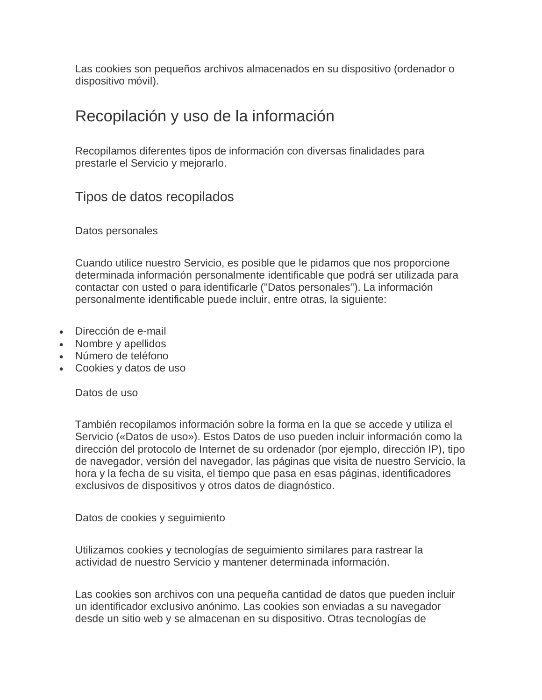Las cookies son pequeños archivos almacenados en su dispositivo (ordenador o dispositivo móvil).

#### Recopilación y uso de la información

Recopilamos diferentes tipos de información con diversas finalidades para prestarle el Servicio y mejorarlo.

Tipos de datos recopilados

Datos personales

Cuando utilice nuestro Servicio, es posible que le pidamos que nos proporcione determinada información personalmente identificable que podrá ser utilizada para contactar con usted o para identificarle ("Datos personales"). La información personalmente identificable puede incluir, entre otras, la siguiente:

- Dirección de e-mail
- Nombre y apellidos
- Número de teléfono
- Cookies y datos de uso

Datos de uso

También recopilamos información sobre la forma en la que se accede y utiliza el Servicio («Datos de uso»). Estos Datos de uso pueden incluir información como la dirección del protocolo de Internet de su ordenador (por ejemplo, dirección IP), tipo de navegador, versión del navegador, las páginas que visita de nuestro Servicio, la hora y la fecha de su visita, el tiempo que pasa en esas páginas, identificadores exclusivos de dispositivos y otros datos de diagnóstico.

Datos de cookies y seguimiento

Utilizamos cookies y tecnologías de seguimiento similares para rastrear la actividad de nuestro Servicio y mantener determinada información.

Las cookies son archivos con una pequeña cantidad de datos que pueden incluir un identificador exclusivo anónimo. Las cookies son enviadas a su navegador desde un sitio web y se almacenan en su dispositivo. Otras tecnologías de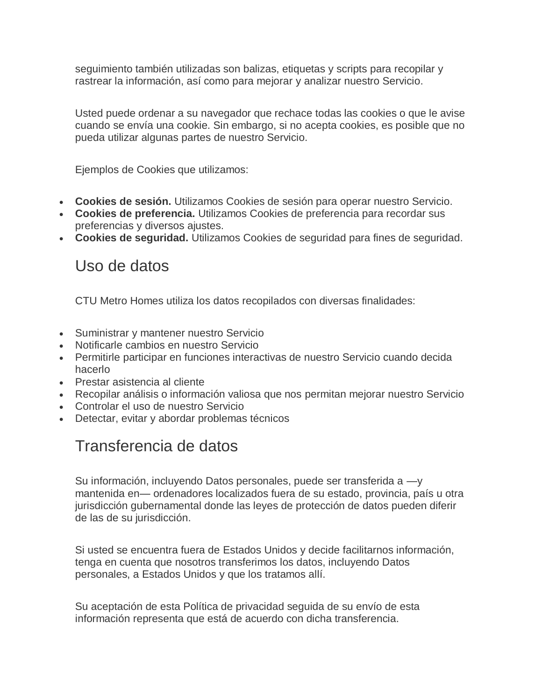seguimiento también utilizadas son balizas, etiquetas y scripts para recopilar y rastrear la información, así como para mejorar y analizar nuestro Servicio.

Usted puede ordenar a su navegador que rechace todas las cookies o que le avise cuando se envía una cookie. Sin embargo, si no acepta cookies, es posible que no pueda utilizar algunas partes de nuestro Servicio.

Ejemplos de Cookies que utilizamos:

- **Cookies de sesión.** Utilizamos Cookies de sesión para operar nuestro Servicio.
- **Cookies de preferencia.** Utilizamos Cookies de preferencia para recordar sus preferencias y diversos ajustes.
- **Cookies de seguridad.** Utilizamos Cookies de seguridad para fines de seguridad.

#### Uso de datos

CTU Metro Homes utiliza los datos recopilados con diversas finalidades:

- Suministrar y mantener nuestro Servicio
- Notificarle cambios en nuestro Servicio
- Permitirle participar en funciones interactivas de nuestro Servicio cuando decida hacerlo
- Prestar asistencia al cliente
- Recopilar análisis o información valiosa que nos permitan mejorar nuestro Servicio
- Controlar el uso de nuestro Servicio
- Detectar, evitar y abordar problemas técnicos

#### Transferencia de datos

Su información, incluyendo Datos personales, puede ser transferida a —y mantenida en— ordenadores localizados fuera de su estado, provincia, país u otra jurisdicción gubernamental donde las leyes de protección de datos pueden diferir de las de su jurisdicción.

Si usted se encuentra fuera de Estados Unidos y decide facilitarnos información, tenga en cuenta que nosotros transferimos los datos, incluyendo Datos personales, a Estados Unidos y que los tratamos allí.

Su aceptación de esta Política de privacidad seguida de su envío de esta información representa que está de acuerdo con dicha transferencia.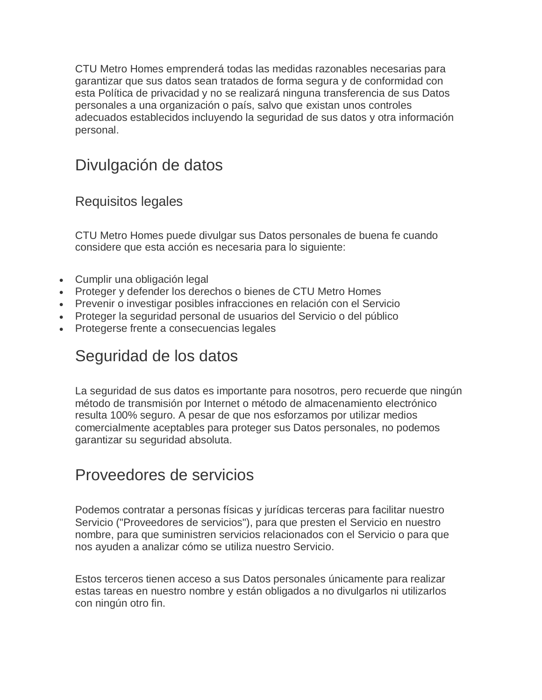CTU Metro Homes emprenderá todas las medidas razonables necesarias para garantizar que sus datos sean tratados de forma segura y de conformidad con esta Política de privacidad y no se realizará ninguna transferencia de sus Datos personales a una organización o país, salvo que existan unos controles adecuados establecidos incluyendo la seguridad de sus datos y otra información personal.

### Divulgación de datos

#### Requisitos legales

CTU Metro Homes puede divulgar sus Datos personales de buena fe cuando considere que esta acción es necesaria para lo siguiente:

- Cumplir una obligación legal
- Proteger y defender los derechos o bienes de CTU Metro Homes
- Prevenir o investigar posibles infracciones en relación con el Servicio
- Proteger la seguridad personal de usuarios del Servicio o del público
- Protegerse frente a consecuencias legales

#### Seguridad de los datos

La seguridad de sus datos es importante para nosotros, pero recuerde que ningún método de transmisión por Internet o método de almacenamiento electrónico resulta 100% seguro. A pesar de que nos esforzamos por utilizar medios comercialmente aceptables para proteger sus Datos personales, no podemos garantizar su seguridad absoluta.

#### Proveedores de servicios

Podemos contratar a personas físicas y jurídicas terceras para facilitar nuestro Servicio ("Proveedores de servicios"), para que presten el Servicio en nuestro nombre, para que suministren servicios relacionados con el Servicio o para que nos ayuden a analizar cómo se utiliza nuestro Servicio.

Estos terceros tienen acceso a sus Datos personales únicamente para realizar estas tareas en nuestro nombre y están obligados a no divulgarlos ni utilizarlos con ningún otro fin.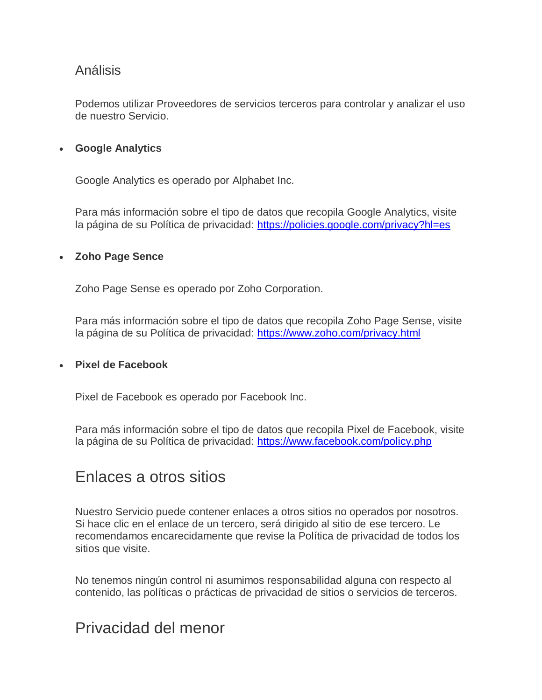#### Análisis

Podemos utilizar Proveedores de servicios terceros para controlar y analizar el uso de nuestro Servicio.

#### **Google Analytics**

Google Analytics es operado por Alphabet Inc.

Para más información sobre el tipo de datos que recopila Google Analytics, visite la página de su Política de privacidad: <https://policies.google.com/privacy?hl=es>

#### **Zoho Page Sence**

Zoho Page Sense es operado por Zoho Corporation.

Para más información sobre el tipo de datos que recopila Zoho Page Sense, visite la página de su Política de privacidad: <https://www.zoho.com/privacy.html>

#### **Pixel de Facebook**

Pixel de Facebook es operado por Facebook Inc.

Para más información sobre el tipo de datos que recopila Pixel de Facebook, visite la página de su Política de privacidad: <https://www.facebook.com/policy.php>

#### Enlaces a otros sitios

Nuestro Servicio puede contener enlaces a otros sitios no operados por nosotros. Si hace clic en el enlace de un tercero, será dirigido al sitio de ese tercero. Le recomendamos encarecidamente que revise la Política de privacidad de todos los sitios que visite.

No tenemos ningún control ni asumimos responsabilidad alguna con respecto al contenido, las políticas o prácticas de privacidad de sitios o servicios de terceros.

#### Privacidad del menor